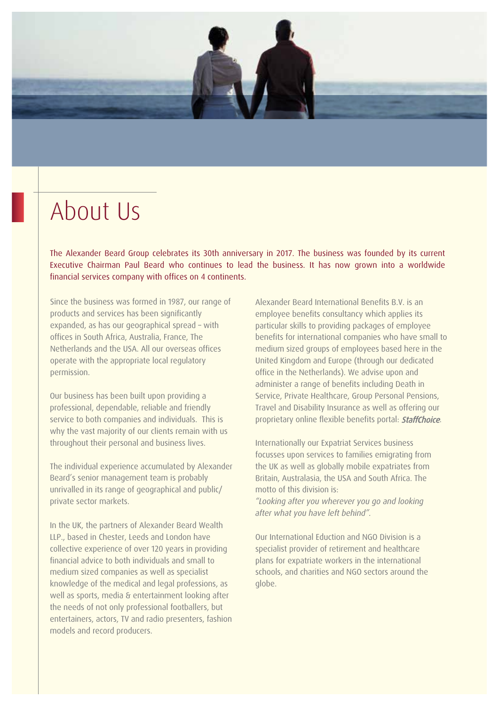# About Us

The Alexander Beard Group celebrates its 30th anniversary in 2017. The business was founded by its current Executive Chairman Paul Beard who continues to lead the business. It has now grown into a worldwide financial services company with offices on 4 continents.

Since the business was formed in 1987, our range of products and services has been significantly expanded, as has our geographical spread – with offices in South Africa, Australia, France, The Netherlands and the USA. All our overseas offices operate with the appropriate local regulatory permission.

Our business has been built upon providing a professional, dependable, reliable and friendly service to both companies and individuals. This is why the vast majority of our clients remain with us throughout their personal and business lives.

The individual experience accumulated by Alexander Beard's senior management team is probably unrivalled in its range of geographical and public/ private sector markets.

In the UK, the partners of Alexander Beard Wealth LLP., based in Chester, Leeds and London have collective experience of over 120 years in providing financial advice to both individuals and small to medium sized companies as well as specialist knowledge of the medical and legal professions, as well as sports, media & entertainment looking after the needs of not only professional footballers, but entertainers, actors, TV and radio presenters, fashion models and record producers.

Alexander Beard International Benefits B.V. is an employee benefits consultancy which applies its particular skills to providing packages of employee benefits for international companies who have small to medium sized groups of employees based here in the United Kingdom and Europe (through our dedicated office in the Netherlands). We advise upon and administer a range of benefits including Death in Service, Private Healthcare, Group Personal Pensions, Travel and Disability Insurance as well as offering our proprietary online flexible benefits portal: **StaffChoice**.

Internationally our Expatriat Services business focusses upon services to families emigrating from the UK as well as globally mobile expatriates from Britain, Australasia, the USA and South Africa. The motto of this division is:

*"Looking after you wherever you go and looking after what you have left behind".*

Our International Eduction and NGO Division is a specialist provider of retirement and healthcare plans for expatriate workers in the international schools, and charities and NGO sectors around the globe.